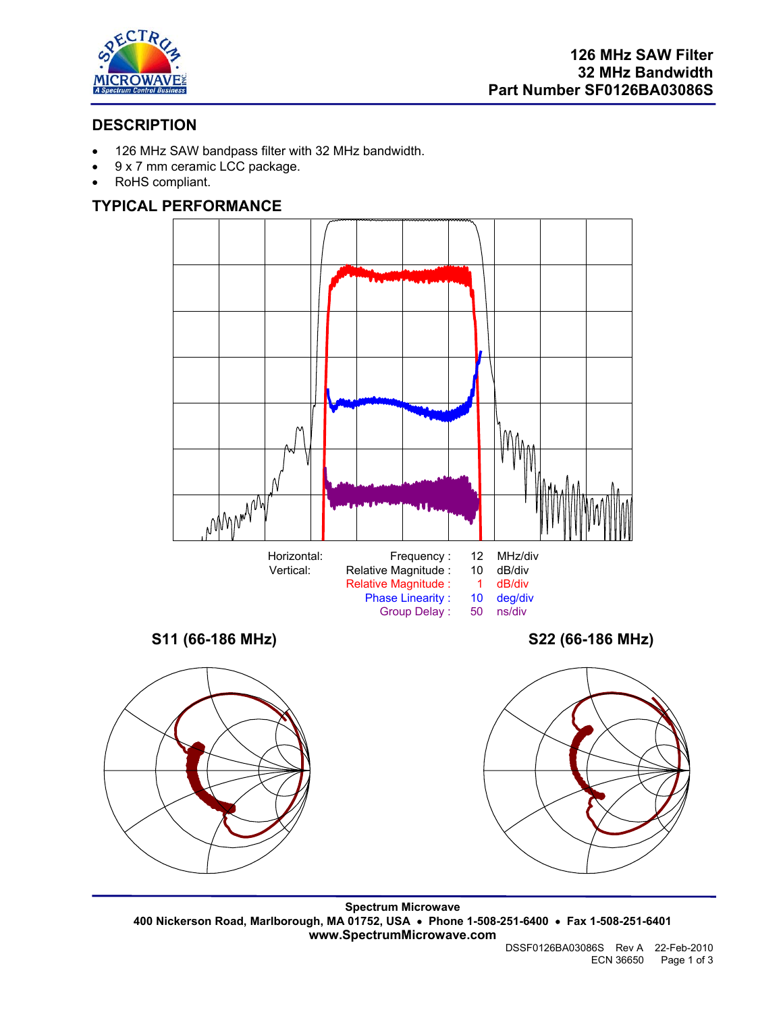

# **DESCRIPTION**

- 126 MHz SAW bandpass filter with 32 MHz bandwidth.
- 9 x 7 mm ceramic LCC package.
- RoHS compliant.

# **TYPICAL PERFORMANCE**



**Spectrum Microwave 400 Nickerson Road, Marlborough, MA 01752, USA** • **Phone 1-508-251-6400** • **Fax 1-508-251-6401 www.SpectrumMicrowave.com**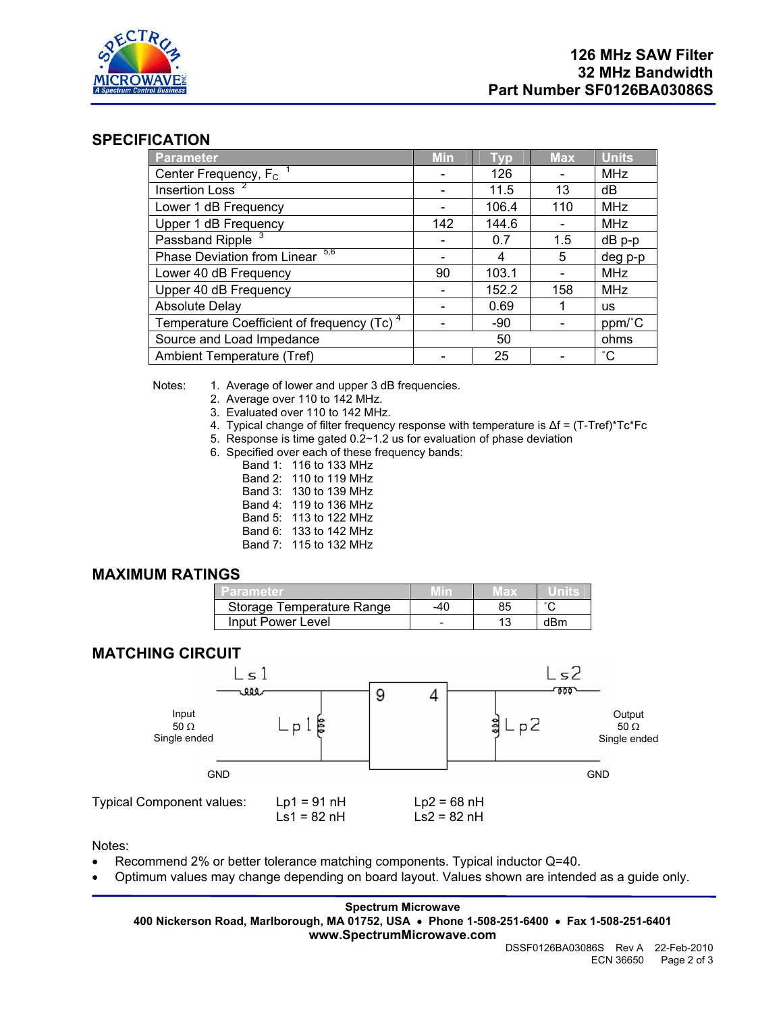

## **SPECIFICATION**

| <b>Parameter</b>                                       | <b>Min</b> | <b>Typ</b> | <b>Max</b> | <b>Units</b> |
|--------------------------------------------------------|------------|------------|------------|--------------|
| Center Frequency, $F_c$ <sup>1</sup>                   |            | 126        |            | <b>MHz</b>   |
| Insertion Loss <sup>2</sup>                            |            | 11.5       | 13         | dB           |
| Lower 1 dB Frequency                                   |            | 106.4      | 110        | <b>MHz</b>   |
| Upper 1 dB Frequency                                   | 142        | 144.6      |            | <b>MHz</b>   |
| Passband Ripple <sup>3</sup>                           |            | 0.7        | 1.5        | dB p-p       |
| 5,6<br>Phase Deviation from Linear                     |            | 4          | 5          | deg p-p      |
| Lower 40 dB Frequency                                  | 90         | 103.1      |            | <b>MHz</b>   |
| Upper 40 dB Frequency                                  |            | 152.2      | 158        | <b>MHz</b>   |
| <b>Absolute Delay</b>                                  |            | 0.69       |            | us           |
| Temperature Coefficient of frequency (Tc) <sup>4</sup> |            | -90        |            | ppm/°C       |
| Source and Load Impedance                              | 50         |            |            | ohms         |
| Ambient Temperature (Tref)                             |            | 25         |            | $^{\circ}$ C |

Notes: 1. Average of lower and upper 3 dB frequencies.

- 2. Average over 110 to 142 MHz.
- 3. Evaluated over 110 to 142 MHz.
- 4. Typical change of filter frequency response with temperature is ∆f = (T-Tref)\*Tc\*Fc
- 5. Response is time gated 0.2~1.2 us for evaluation of phase deviation
- 6. Specified over each of these frequency bands:
	- Band 1: 116 to 133 MHz
	- Band 2: 110 to 119 MHz
	- Band 3: 130 to 139 MHz
	- Band 4: 119 to 136 MHz
	- Band 5: 113 to 122 MHz
	- Band 6: 133 to 142 MHz
	- Band 7: 115 to 132 MHz

### **MAXIMUM RATINGS**

| Parameter                 |   |     |
|---------------------------|---|-----|
| Storage Temperature Range |   |     |
| Input Power Level         | - | dBm |



Notes:

- Recommend 2% or better tolerance matching components. Typical inductor Q=40.
- Optimum values may change depending on board layout. Values shown are intended as a guide only.

**Spectrum Microwave 400 Nickerson Road, Marlborough, MA 01752, USA** • **Phone 1-508-251-6400** • **Fax 1-508-251-6401 www.SpectrumMicrowave.com** 

DSSF0126BA03086S Rev A 22-Feb-2010 ECN 36650 Page 2 of 3